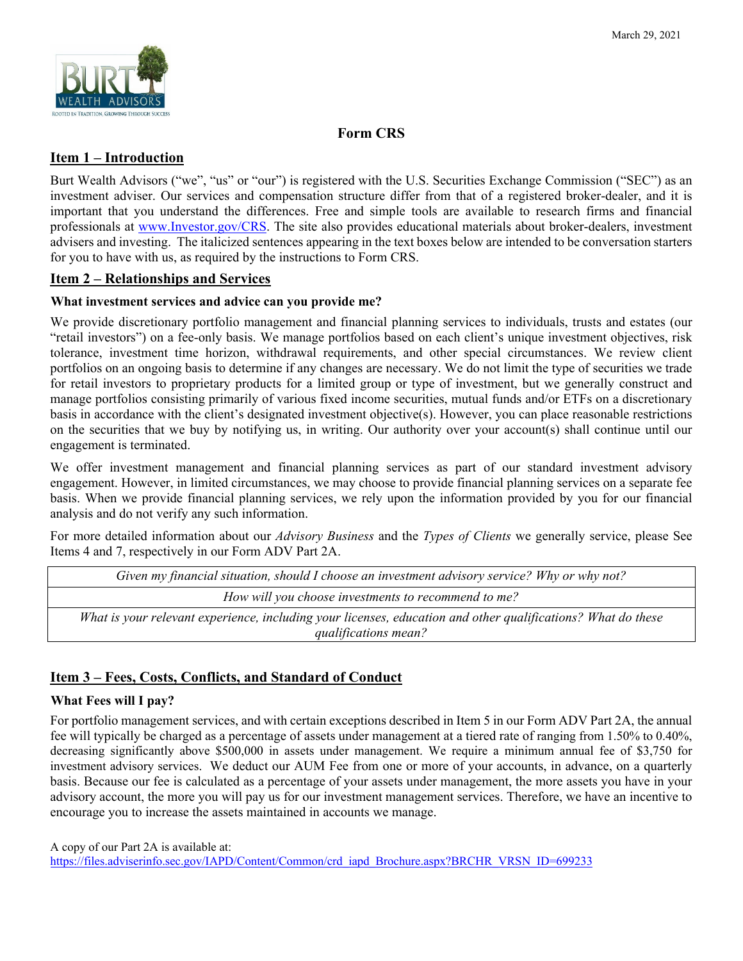

# **Form CRS**

# **Item 1 – Introduction**

Burt Wealth Advisors ("we", "us" or "our") is registered with the U.S. Securities Exchange Commission ("SEC") as an investment adviser. Our services and compensation structure differ from that of a registered broker-dealer, and it is important that you understand the differences. Free and simple tools are available to research firms and financial professionals at www.Investor.gov/CRS. The site also provides educational materials about broker-dealers, investment advisers and investing. The italicized sentences appearing in the text boxes below are intended to be conversation starters for you to have with us, as required by the instructions to Form CRS.

# **Item 2 – Relationships and Services**

## **What investment services and advice can you provide me?**

We provide discretionary portfolio management and financial planning services to individuals, trusts and estates (our "retail investors") on a fee-only basis. We manage portfolios based on each client's unique investment objectives, risk tolerance, investment time horizon, withdrawal requirements, and other special circumstances. We review client portfolios on an ongoing basis to determine if any changes are necessary. We do not limit the type of securities we trade for retail investors to proprietary products for a limited group or type of investment, but we generally construct and manage portfolios consisting primarily of various fixed income securities, mutual funds and/or ETFs on a discretionary basis in accordance with the client's designated investment objective(s). However, you can place reasonable restrictions on the securities that we buy by notifying us, in writing. Our authority over your account(s) shall continue until our engagement is terminated.

We offer investment management and financial planning services as part of our standard investment advisory engagement. However, in limited circumstances, we may choose to provide financial planning services on a separate fee basis. When we provide financial planning services, we rely upon the information provided by you for our financial analysis and do not verify any such information.

For more detailed information about our *Advisory Business* and the *Types of Clients* we generally service, please See Items 4 and 7, respectively in our Form ADV Part 2A.

| Given my financial situation, should I choose an investment advisory service? Why or why not?                |
|--------------------------------------------------------------------------------------------------------------|
| How will you choose investments to recommend to me?                                                          |
| What is your relevant experience, including your licenses, education and other qualifications? What do these |
| qualifications mean?                                                                                         |

# **Item 3 – Fees, Costs, Conflicts, and Standard of Conduct**

## **What Fees will I pay?**

For portfolio management services, and with certain exceptions described in Item 5 in our Form ADV Part 2A, the annual fee will typically be charged as a percentage of assets under management at a tiered rate of ranging from 1.50% to 0.40%, decreasing significantly above \$500,000 in assets under management. We require a minimum annual fee of \$3,750 for investment advisory services. We deduct our AUM Fee from one or more of your accounts, in advance, on a quarterly basis. Because our fee is calculated as a percentage of your assets under management, the more assets you have in your advisory account, the more you will pay us for our investment management services. Therefore, we have an incentive to encourage you to increase the assets maintained in accounts we manage.

A copy of our Part 2A is available at:

https://files.adviserinfo.sec.gov/IAPD/Content/Common/crd\_iapd\_Brochure.aspx?BRCHR\_VRSN\_ID=699233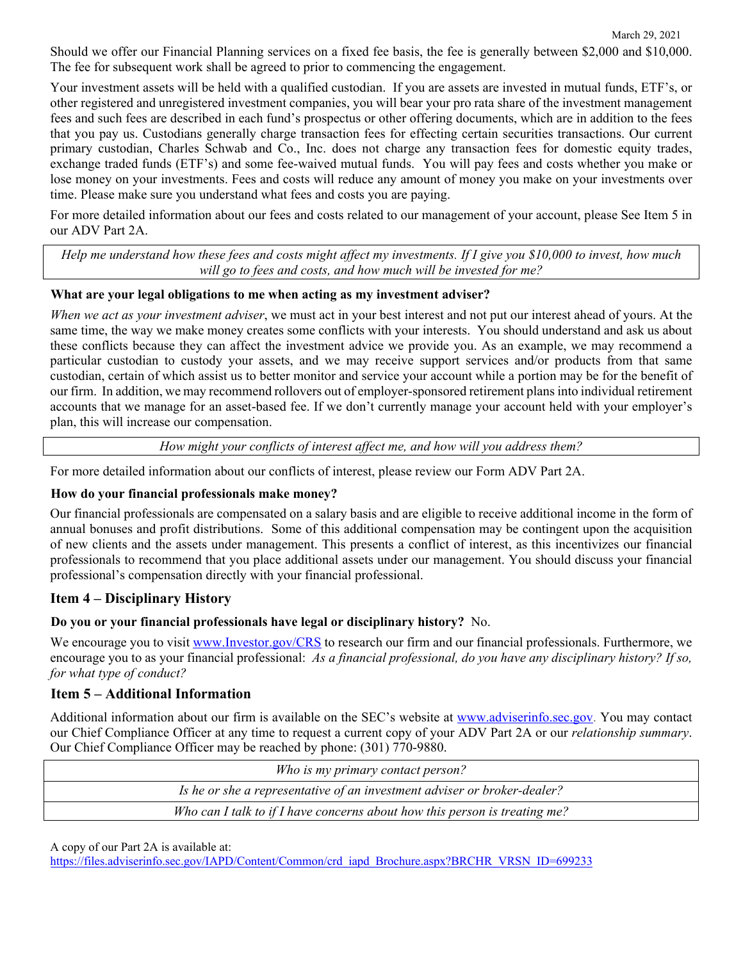Should we offer our Financial Planning services on a fixed fee basis, the fee is generally between \$2,000 and \$10,000. The fee for subsequent work shall be agreed to prior to commencing the engagement.

Your investment assets will be held with a qualified custodian. If you are assets are invested in mutual funds, ETF's, or other registered and unregistered investment companies, you will bear your pro rata share of the investment management fees and such fees are described in each fund's prospectus or other offering documents, which are in addition to the fees that you pay us. Custodians generally charge transaction fees for effecting certain securities transactions. Our current primary custodian, Charles Schwab and Co., Inc. does not charge any transaction fees for domestic equity trades, exchange traded funds (ETF's) and some fee-waived mutual funds. You will pay fees and costs whether you make or lose money on your investments. Fees and costs will reduce any amount of money you make on your investments over time. Please make sure you understand what fees and costs you are paying.

For more detailed information about our fees and costs related to our management of your account, please See Item 5 in our ADV Part 2A.

*Help me understand how these fees and costs might affect my investments. If I give you \$10,000 to invest, how much will go to fees and costs, and how much will be invested for me?* 

### **What are your legal obligations to me when acting as my investment adviser?**

*When we act as your investment adviser*, we must act in your best interest and not put our interest ahead of yours. At the same time, the way we make money creates some conflicts with your interests. You should understand and ask us about these conflicts because they can affect the investment advice we provide you. As an example, we may recommend a particular custodian to custody your assets, and we may receive support services and/or products from that same custodian, certain of which assist us to better monitor and service your account while a portion may be for the benefit of our firm. In addition, we may recommend rollovers out of employer-sponsored retirement plans into individual retirement accounts that we manage for an asset-based fee. If we don't currently manage your account held with your employer's plan, this will increase our compensation.

*How might your conflicts of interest affect me, and how will you address them?* 

For more detailed information about our conflicts of interest, please review our Form ADV Part 2A.

### **How do your financial professionals make money?**

Our financial professionals are compensated on a salary basis and are eligible to receive additional income in the form of annual bonuses and profit distributions. Some of this additional compensation may be contingent upon the acquisition of new clients and the assets under management. This presents a conflict of interest, as this incentivizes our financial professionals to recommend that you place additional assets under our management. You should discuss your financial professional's compensation directly with your financial professional.

## **Item 4 – Disciplinary History**

### **Do you or your financial professionals have legal or disciplinary history?** No.

We encourage you to visit www.Investor.gov/CRS to research our firm and our financial professionals. Furthermore, we encourage you to as your financial professional: *As a financial professional, do you have any disciplinary history? If so, for what type of conduct?*

# **Item 5 – Additional Information**

Additional information about our firm is available on the SEC's website at www.adviserinfo.sec.gov. You may contact our Chief Compliance Officer at any time to request a current copy of your ADV Part 2A or our *relationship summary*. Our Chief Compliance Officer may be reached by phone: (301) 770-9880.

| Who is my primary contact person?                                          |
|----------------------------------------------------------------------------|
| Is he or she a representative of an investment adviser or broker-dealer?   |
| Who can I talk to if I have concerns about how this person is treating me? |

A copy of our Part 2A is available at:

https://files.adviserinfo.sec.gov/IAPD/Content/Common/crd\_iapd\_Brochure.aspx?BRCHR\_VRSN\_ID=699233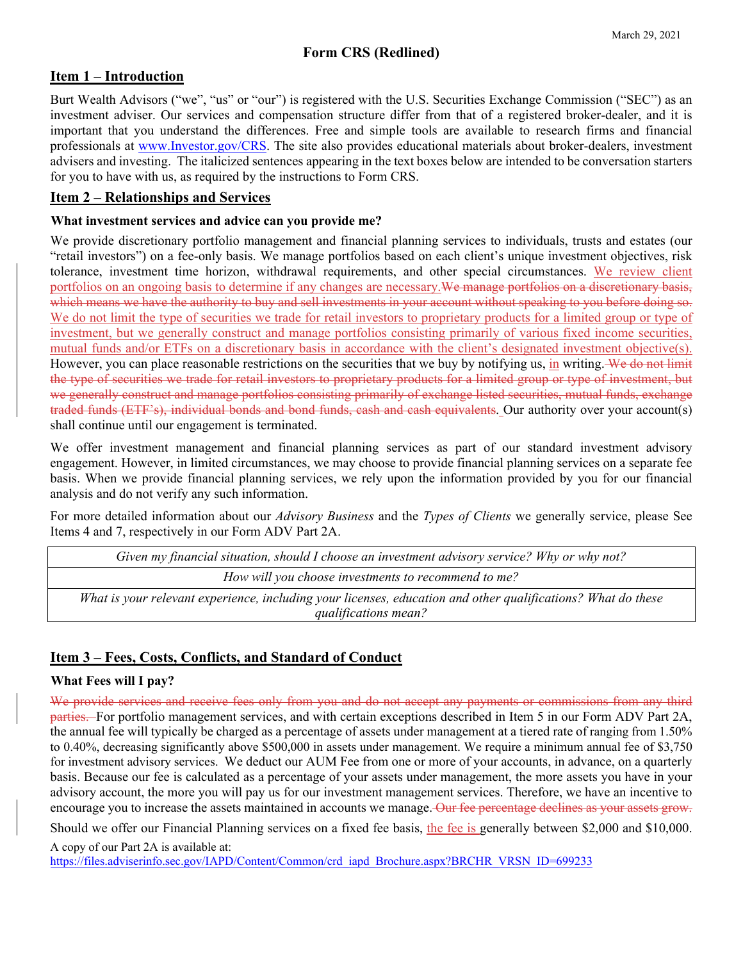# **Item 1 – Introduction**

Burt Wealth Advisors ("we", "us" or "our") is registered with the U.S. Securities Exchange Commission ("SEC") as an investment adviser. Our services and compensation structure differ from that of a registered broker-dealer, and it is important that you understand the differences. Free and simple tools are available to research firms and financial professionals at www.Investor.gov/CRS. The site also provides educational materials about broker-dealers, investment advisers and investing. The italicized sentences appearing in the text boxes below are intended to be conversation starters for you to have with us, as required by the instructions to Form CRS.

# **Item 2 – Relationships and Services**

### **What investment services and advice can you provide me?**

We provide discretionary portfolio management and financial planning services to individuals, trusts and estates (our "retail investors") on a fee-only basis. We manage portfolios based on each client's unique investment objectives, risk tolerance, investment time horizon, withdrawal requirements, and other special circumstances. We review client portfolios on an ongoing basis to determine if any changes are necessary. We manage portfolios on a discretionary basis, which means we have the authority to buy and sell investments in your account without speaking to you before doing so. We do not limit the type of securities we trade for retail investors to proprietary products for a limited group or type of investment, but we generally construct and manage portfolios consisting primarily of various fixed income securities, mutual funds and/or ETFs on a discretionary basis in accordance with the client's designated investment objective(s). However, you can place reasonable restrictions on the securities that we buy by notifying us, in writing. We do not limit the type of securities we trade for retail investors to proprietary products for a limited group or type of investment, but we generally construct and manage portfolios consisting primarily of exchange listed securities, mutual funds, exchange traded funds (ETF's), individual bonds and bond funds, cash and cash equivalents. Our authority over your account(s) shall continue until our engagement is terminated.

We offer investment management and financial planning services as part of our standard investment advisory engagement. However, in limited circumstances, we may choose to provide financial planning services on a separate fee basis. When we provide financial planning services, we rely upon the information provided by you for our financial analysis and do not verify any such information.

For more detailed information about our *Advisory Business* and the *Types of Clients* we generally service, please See Items 4 and 7, respectively in our Form ADV Part 2A.

| Given my financial situation, should I choose an investment advisory service? Why or why not?                |
|--------------------------------------------------------------------------------------------------------------|
| How will you choose investments to recommend to me?                                                          |
| What is your relevant experience, including your licenses, education and other qualifications? What do these |
| qualifications mean?                                                                                         |

# **Item 3 – Fees, Costs, Conflicts, and Standard of Conduct**

## **What Fees will I pay?**

We provide services and receive fees only from you and do not accept any payments or commissions from any third parties. For portfolio management services, and with certain exceptions described in Item 5 in our Form ADV Part 2A, the annual fee will typically be charged as a percentage of assets under management at a tiered rate of ranging from 1.50% to 0.40%, decreasing significantly above \$500,000 in assets under management. We require a minimum annual fee of \$3,750 for investment advisory services. We deduct our AUM Fee from one or more of your accounts, in advance, on a quarterly basis. Because our fee is calculated as a percentage of your assets under management, the more assets you have in your advisory account, the more you will pay us for our investment management services. Therefore, we have an incentive to encourage you to increase the assets maintained in accounts we manage. Our fee percentage declines as your assets grow.

Should we offer our Financial Planning services on a fixed fee basis, the fee is generally between \$2,000 and \$10,000.

A copy of our Part 2A is available at: https://files.adviserinfo.sec.gov/IAPD/Content/Common/crd\_iapd\_Brochure.aspx?BRCHR\_VRSN\_ID=699233